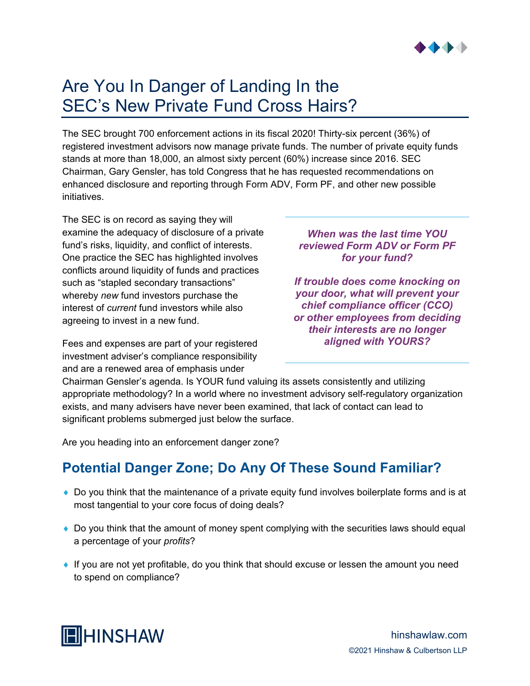

## Are You In Danger of Landing In the SEC's New Private Fund Cross Hairs?

The SEC brought 700 enforcement actions in its fiscal 2020! Thirty-six percent (36%) of registered investment advisors now manage private funds. The number of private equity funds stands at more than 18,000, an almost sixty percent (60%) increase since 2016. SEC Chairman, Gary Gensler, has told Congress that he has requested recommendations on enhanced disclosure and reporting through Form ADV, Form PF, and other new possible initiatives.

The SEC is on record as saying they will examine the adequacy of disclosure of a private fund's risks, liquidity, and conflict of interests. One practice the SEC has highlighted involves conflicts around liquidity of funds and practices such as "stapled secondary transactions" whereby *new* fund investors purchase the interest of *current* fund investors while also agreeing to invest in a new fund.

Fees and expenses are part of your registered investment adviser's compliance responsibility and are a renewed area of emphasis under

## *When was the last time YOU reviewed Form ADV or Form PF for your fund?*

*If trouble does come knocking on your door, what will prevent your chief compliance officer (CCO) or other employees from deciding their interests are no longer aligned with YOURS?*

Chairman Gensler's agenda. Is YOUR fund valuing its assets consistently and utilizing appropriate methodology? In a world where no investment advisory self-regulatory organization exists, and many advisers have never been examined, that lack of contact can lead to significant problems submerged just below the surface.

Are you heading into an enforcement danger zone?

## **Potential Danger Zone; Do Any Of These Sound Familiar?**

- ♦ Do you think that the maintenance of a private equity fund involves boilerplate forms and is at most tangential to your core focus of doing deals?
- ♦ Do you think that the amount of money spent complying with the securities laws should equal a percentage of your *profits*?
- ♦ If you are not yet profitable, do you think that should excuse or lessen the amount you need to spend on compliance?